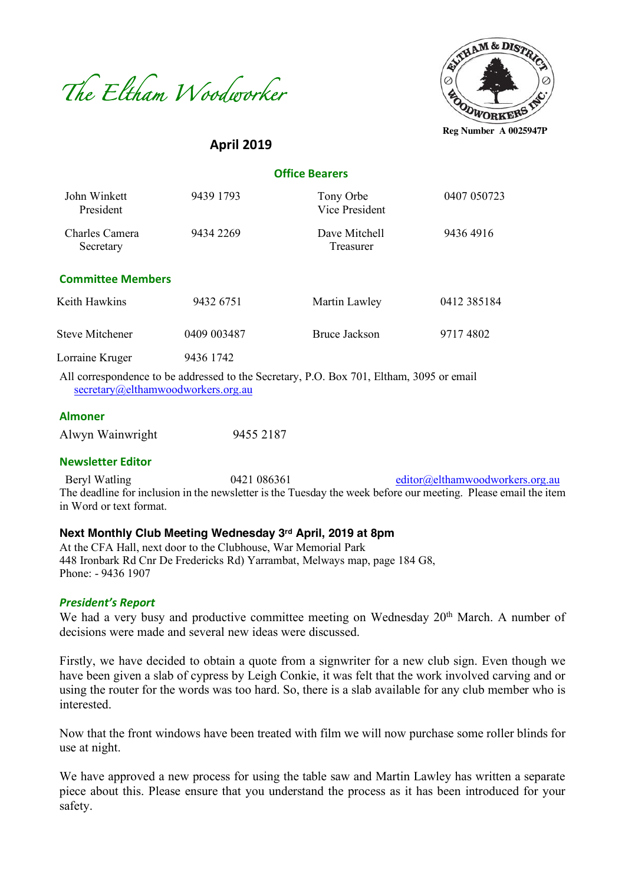



**April 2019**

 **Office Bearers**

| John Winkett<br>President   | 9439 1793   | Tony Orbe<br>Vice President | 0407 050723 |
|-----------------------------|-------------|-----------------------------|-------------|
| Charles Camera<br>Secretary | 9434 2269   | Dave Mitchell<br>Treasurer  | 94364916    |
| <b>Committee Members</b>    |             |                             |             |
| Keith Hawkins               | 9432 6751   | Martin Lawley               | 0412 385184 |
| <b>Steve Mitchener</b>      | 0409 003487 | <b>Bruce Jackson</b>        | 97174802    |
| Lorraine Kruger<br>.        | 9436 1742   |                             |             |

All correspondence to be addressed to the Secretary, P.O. Box 701, Eltham, 3095 or email secretary@elthamwoodworkers.org.au

#### **Almoner**

| Alwyn Wainwright | 9455 2187 |
|------------------|-----------|
|------------------|-----------|

#### **Newsletter Editor**

Beryl Watling 0421 086361 editor@elthamwoodworkers.org.au The deadline for inclusion in the newsletter is the Tuesday the week before our meeting. Please email the item in Word or text format.

#### **Next Monthly Club Meeting Wednesday 3rd April, 2019 at 8pm**

At the CFA Hall, next door to the Clubhouse, War Memorial Park 448 Ironbark Rd Cnr De Fredericks Rd) Yarrambat, Melways map, page 184 G8, Phone: - 9436 1907

#### *President's Report*

We had a very busy and productive committee meeting on Wednesday 20<sup>th</sup> March. A number of decisions were made and several new ideas were discussed.

Firstly, we have decided to obtain a quote from a signwriter for a new club sign. Even though we have been given a slab of cypress by Leigh Conkie, it was felt that the work involved carving and or using the router for the words was too hard. So, there is a slab available for any club member who is interested.

Now that the front windows have been treated with film we will now purchase some roller blinds for use at night.

We have approved a new process for using the table saw and Martin Lawley has written a separate piece about this. Please ensure that you understand the process as it has been introduced for your safety.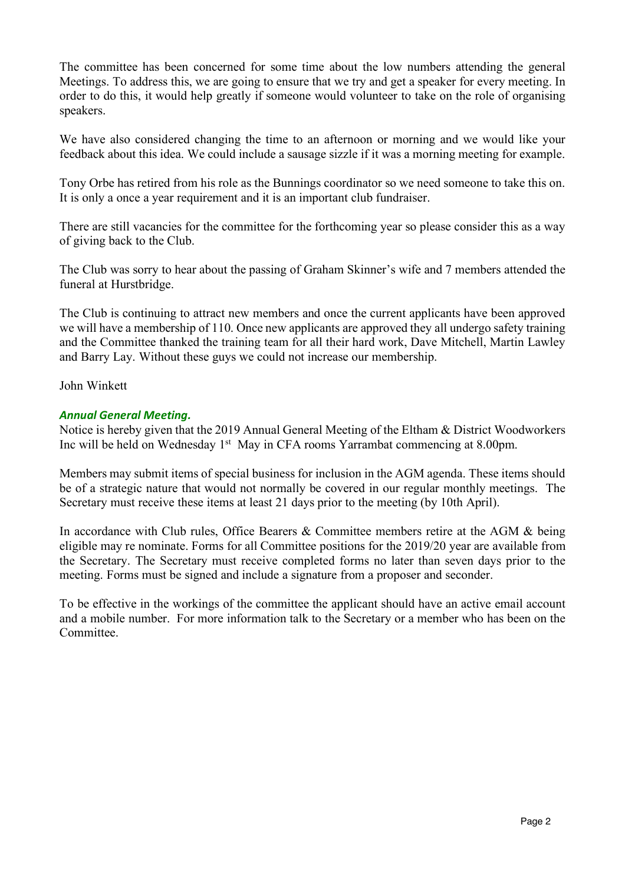The committee has been concerned for some time about the low numbers attending the general Meetings. To address this, we are going to ensure that we try and get a speaker for every meeting. In order to do this, it would help greatly if someone would volunteer to take on the role of organising speakers.

We have also considered changing the time to an afternoon or morning and we would like your feedback about this idea. We could include a sausage sizzle if it was a morning meeting for example.

Tony Orbe has retired from his role as the Bunnings coordinator so we need someone to take this on. It is only a once a year requirement and it is an important club fundraiser.

There are still vacancies for the committee for the forthcoming year so please consider this as a way of giving back to the Club.

The Club was sorry to hear about the passing of Graham Skinner's wife and 7 members attended the funeral at Hurstbridge.

The Club is continuing to attract new members and once the current applicants have been approved we will have a membership of 110. Once new applicants are approved they all undergo safety training and the Committee thanked the training team for all their hard work, Dave Mitchell, Martin Lawley and Barry Lay. Without these guys we could not increase our membership.

John Winkett

# *Annual General Meeting.*

Notice is hereby given that the 2019 Annual General Meeting of the Eltham & District Woodworkers Inc will be held on Wednesday 1<sup>st</sup> May in CFA rooms Yarrambat commencing at 8.00pm.

Members may submit items of special business for inclusion in the AGM agenda. These items should be of a strategic nature that would not normally be covered in our regular monthly meetings. The Secretary must receive these items at least 21 days prior to the meeting (by 10th April).

In accordance with Club rules, Office Bearers & Committee members retire at the AGM & being eligible may re nominate. Forms for all Committee positions for the 2019/20 year are available from the Secretary. The Secretary must receive completed forms no later than seven days prior to the meeting. Forms must be signed and include a signature from a proposer and seconder.

To be effective in the workings of the committee the applicant should have an active email account and a mobile number. For more information talk to the Secretary or a member who has been on the Committee.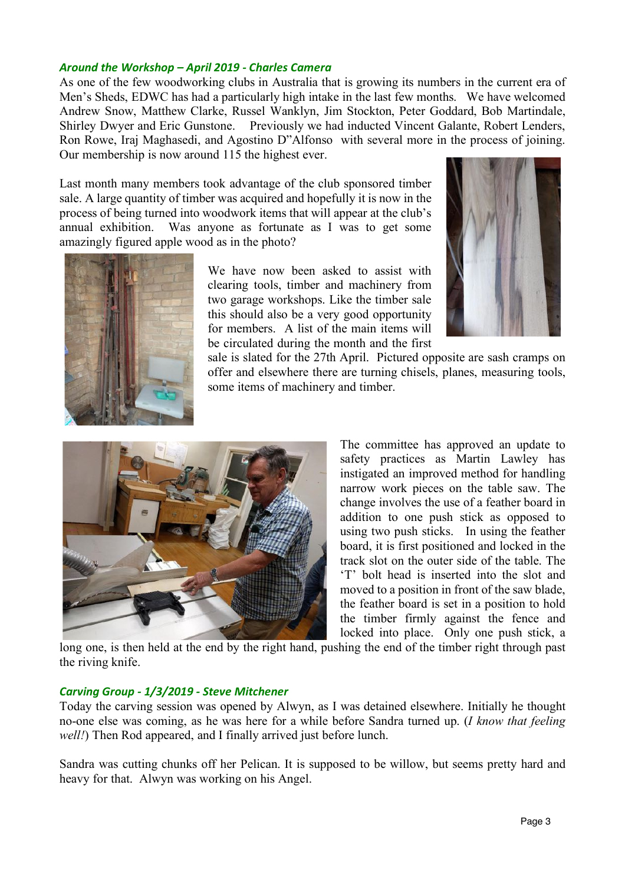# *Around the Workshop – April 2019 - Charles Camera*

As one of the few woodworking clubs in Australia that is growing its numbers in the current era of Men's Sheds, EDWC has had a particularly high intake in the last few months. We have welcomed Andrew Snow, Matthew Clarke, Russel Wanklyn, Jim Stockton, Peter Goddard, Bob Martindale, Shirley Dwyer and Eric Gunstone. Previously we had inducted Vincent Galante, Robert Lenders, Ron Rowe, Iraj Maghasedi, and Agostino D"Alfonso with several more in the process of joining. Our membership is now around 115 the highest ever.

Last month many members took advantage of the club sponsored timber sale. A large quantity of timber was acquired and hopefully it is now in the process of being turned into woodwork items that will appear at the club's annual exhibition. Was anyone as fortunate as I was to get some amazingly figured apple wood as in the photo?

> We have now been asked to assist with clearing tools, timber and machinery from two garage workshops. Like the timber sale this should also be a very good opportunity for members. A list of the main items will be circulated during the month and the first







The committee has approved an update to safety practices as Martin Lawley has instigated an improved method for handling narrow work pieces on the table saw. The change involves the use of a feather board in addition to one push stick as opposed to using two push sticks. In using the feather board, it is first positioned and locked in the track slot on the outer side of the table. The 'T' bolt head is inserted into the slot and moved to a position in front of the saw blade, the feather board is set in a position to hold the timber firmly against the fence and locked into place. Only one push stick, a

long one, is then held at the end by the right hand, pushing the end of the timber right through past the riving knife.

## *Carving Group - 1/3/2019 - Steve Mitchener*

Today the carving session was opened by Alwyn, as I was detained elsewhere. Initially he thought no-one else was coming, as he was here for a while before Sandra turned up. (*I know that feeling well!*) Then Rod appeared, and I finally arrived just before lunch.

Sandra was cutting chunks off her Pelican. It is supposed to be willow, but seems pretty hard and heavy for that. Alwyn was working on his Angel.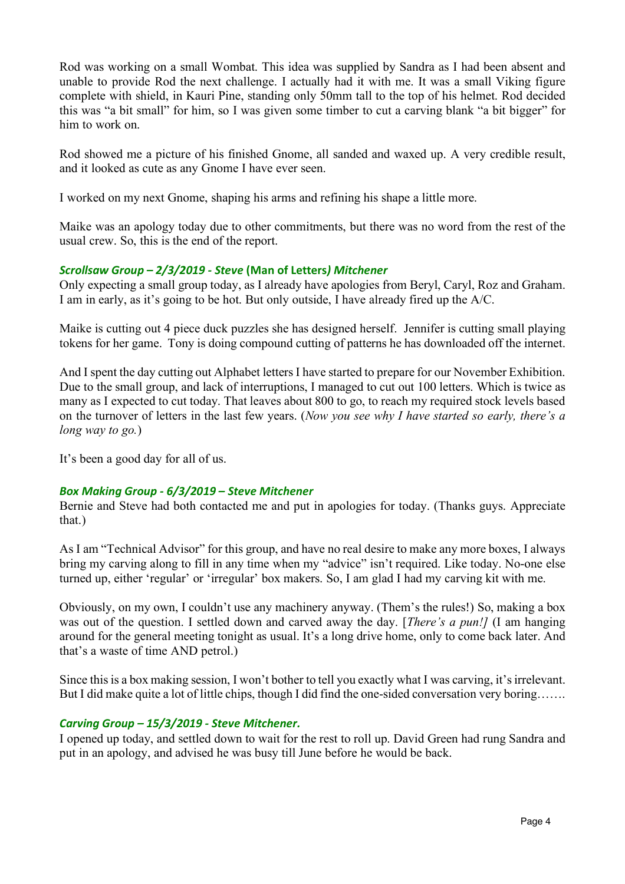Rod was working on a small Wombat. This idea was supplied by Sandra as I had been absent and unable to provide Rod the next challenge. I actually had it with me. It was a small Viking figure complete with shield, in Kauri Pine, standing only 50mm tall to the top of his helmet. Rod decided this was "a bit small" for him, so I was given some timber to cut a carving blank "a bit bigger" for him to work on.

Rod showed me a picture of his finished Gnome, all sanded and waxed up. A very credible result, and it looked as cute as any Gnome I have ever seen.

I worked on my next Gnome, shaping his arms and refining his shape a little more.

Maike was an apology today due to other commitments, but there was no word from the rest of the usual crew. So, this is the end of the report.

# *Scrollsaw Group – 2/3/2019 - Steve* **(Man of Letters***) Mitchener*

Only expecting a small group today, as I already have apologies from Beryl, Caryl, Roz and Graham. I am in early, as it's going to be hot. But only outside, I have already fired up the A/C.

Maike is cutting out 4 piece duck puzzles she has designed herself. Jennifer is cutting small playing tokens for her game. Tony is doing compound cutting of patterns he has downloaded off the internet.

And I spent the day cutting out Alphabet letters I have started to prepare for our November Exhibition. Due to the small group, and lack of interruptions, I managed to cut out 100 letters. Which is twice as many as I expected to cut today. That leaves about 800 to go, to reach my required stock levels based on the turnover of letters in the last few years. (*Now you see why I have started so early, there's a long way to go.*)

It's been a good day for all of us.

## *Box Making Group - 6/3/2019 – Steve Mitchener*

Bernie and Steve had both contacted me and put in apologies for today. (Thanks guys. Appreciate that.)

As I am "Technical Advisor" for this group, and have no real desire to make any more boxes, I always bring my carving along to fill in any time when my "advice" isn't required. Like today. No-one else turned up, either 'regular' or 'irregular' box makers. So, I am glad I had my carving kit with me.

Obviously, on my own, I couldn't use any machinery anyway. (Them's the rules!) So, making a box was out of the question. I settled down and carved away the day. [*There's a pun!]* (I am hanging around for the general meeting tonight as usual. It's a long drive home, only to come back later. And that's a waste of time AND petrol.)

Since this is a box making session, I won't bother to tell you exactly what I was carving, it's irrelevant. But I did make quite a lot of little chips, though I did find the one-sided conversation very boring…….

## *Carving Group – 15/3/2019 - Steve Mitchener.*

I opened up today, and settled down to wait for the rest to roll up. David Green had rung Sandra and put in an apology, and advised he was busy till June before he would be back.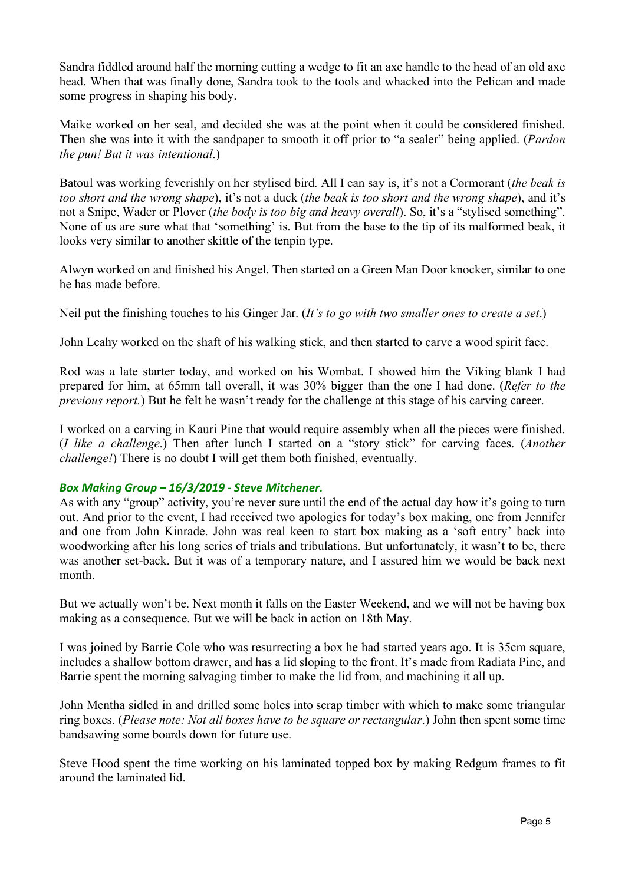Sandra fiddled around half the morning cutting a wedge to fit an axe handle to the head of an old axe head. When that was finally done, Sandra took to the tools and whacked into the Pelican and made some progress in shaping his body.

Maike worked on her seal, and decided she was at the point when it could be considered finished. Then she was into it with the sandpaper to smooth it off prior to "a sealer" being applied. (*Pardon the pun! But it was intentional*.)

Batoul was working feverishly on her stylised bird. All I can say is, it's not a Cormorant (*the beak is too short and the wrong shape*), it's not a duck (*the beak is too short and the wrong shape*), and it's not a Snipe, Wader or Plover (*the body is too big and heavy overall*). So, it's a "stylised something". None of us are sure what that 'something' is. But from the base to the tip of its malformed beak, it looks very similar to another skittle of the tenpin type.

Alwyn worked on and finished his Angel. Then started on a Green Man Door knocker, similar to one he has made before.

Neil put the finishing touches to his Ginger Jar. (*It's to go with two smaller ones to create a set*.)

John Leahy worked on the shaft of his walking stick, and then started to carve a wood spirit face.

Rod was a late starter today, and worked on his Wombat. I showed him the Viking blank I had prepared for him, at 65mm tall overall, it was 30% bigger than the one I had done. (*Refer to the previous report.*) But he felt he wasn't ready for the challenge at this stage of his carving career.

I worked on a carving in Kauri Pine that would require assembly when all the pieces were finished. (*I like a challenge*.) Then after lunch I started on a "story stick" for carving faces. (*Another challenge!*) There is no doubt I will get them both finished, eventually.

## *Box Making Group – 16/3/2019 - Steve Mitchener.*

As with any "group" activity, you're never sure until the end of the actual day how it's going to turn out. And prior to the event, I had received two apologies for today's box making, one from Jennifer and one from John Kinrade. John was real keen to start box making as a 'soft entry' back into woodworking after his long series of trials and tribulations. But unfortunately, it wasn't to be, there was another set-back. But it was of a temporary nature, and I assured him we would be back next month.

But we actually won't be. Next month it falls on the Easter Weekend, and we will not be having box making as a consequence. But we will be back in action on 18th May.

I was joined by Barrie Cole who was resurrecting a box he had started years ago. It is 35cm square, includes a shallow bottom drawer, and has a lid sloping to the front. It's made from Radiata Pine, and Barrie spent the morning salvaging timber to make the lid from, and machining it all up.

John Mentha sidled in and drilled some holes into scrap timber with which to make some triangular ring boxes. (*Please note: Not all boxes have to be square or rectangular*.) John then spent some time bandsawing some boards down for future use.

Steve Hood spent the time working on his laminated topped box by making Redgum frames to fit around the laminated lid.